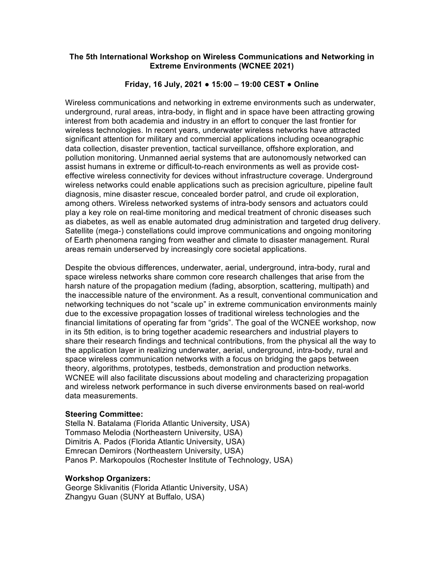### **The 5th International Workshop on Wireless Communications and Networking in Extreme Environments (WCNEE 2021)**

## **Friday, 16 July, 2021 ● 15:00 – 19:00 CEST ● Online**

Wireless communications and networking in extreme environments such as underwater, underground, rural areas, intra-body, in flight and in space have been attracting growing interest from both academia and industry in an effort to conquer the last frontier for wireless technologies. In recent years, underwater wireless networks have attracted significant attention for military and commercial applications including oceanographic data collection, disaster prevention, tactical surveillance, offshore exploration, and pollution monitoring. Unmanned aerial systems that are autonomously networked can assist humans in extreme or difficult-to-reach environments as well as provide costeffective wireless connectivity for devices without infrastructure coverage. Underground wireless networks could enable applications such as precision agriculture, pipeline fault diagnosis, mine disaster rescue, concealed border patrol, and crude oil exploration, among others. Wireless networked systems of intra-body sensors and actuators could play a key role on real-time monitoring and medical treatment of chronic diseases such as diabetes, as well as enable automated drug administration and targeted drug delivery. Satellite (mega-) constellations could improve communications and ongoing monitoring of Earth phenomena ranging from weather and climate to disaster management. Rural areas remain underserved by increasingly core societal applications.

Despite the obvious differences, underwater, aerial, underground, intra-body, rural and space wireless networks share common core research challenges that arise from the harsh nature of the propagation medium (fading, absorption, scattering, multipath) and the inaccessible nature of the environment. As a result, conventional communication and networking techniques do not "scale up" in extreme communication environments mainly due to the excessive propagation losses of traditional wireless technologies and the financial limitations of operating far from "grids". The goal of the WCNEE workshop, now in its 5th edition, is to bring together academic researchers and industrial players to share their research findings and technical contributions, from the physical all the way to the application layer in realizing underwater, aerial, underground, intra-body, rural and space wireless communication networks with a focus on bridging the gaps between theory, algorithms, prototypes, testbeds, demonstration and production networks. WCNEE will also facilitate discussions about modeling and characterizing propagation and wireless network performance in such diverse environments based on real-world data measurements.

#### **Steering Committee:**

Stella N. Batalama (Florida Atlantic University, USA) Tommaso Melodia (Northeastern University, USA) Dimitris A. Pados (Florida Atlantic University, USA) Emrecan Demirors (Northeastern University, USA) Panos P. Markopoulos (Rochester Institute of Technology, USA)

#### **Workshop Organizers:**

George Sklivanitis (Florida Atlantic University, USA) Zhangyu Guan (SUNY at Buffalo, USA)